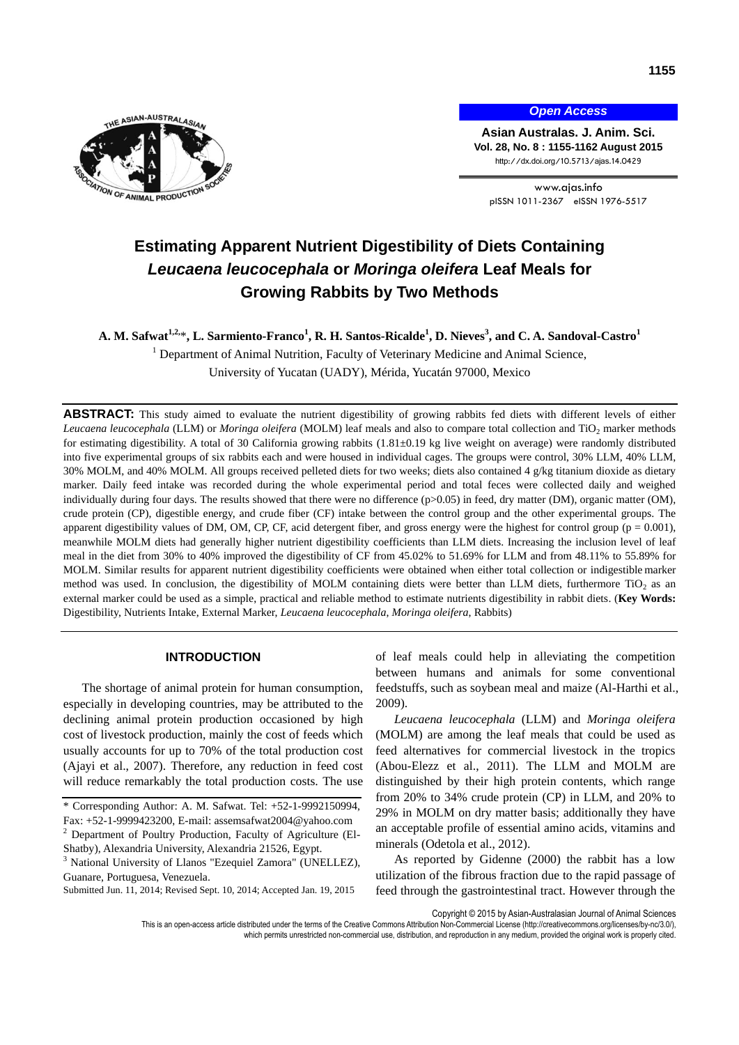

*Open Access*

**Asian Australas. J. Anim. Sci. Vol. 28, No. 8 : 1155-1162 August 2015** http://dx.doi.org/10.5713/ajas.14.0429

www.ajas.info pISSN 1011-2367 eISSN 1976-5517

# **Estimating Apparent Nutrient Digestibility of Diets Containing**  *Leucaena leucocephala* **or** *Moringa oleifera* **Leaf Meals for Growing Rabbits by Two Methods**

**A. M. Safwat1,2,** \***, L. Sarmiento-Franco<sup>1</sup> , R. H. Santos-Ricalde<sup>1</sup> , D. Nieves<sup>3</sup> , and C. A. Sandoval-Castro<sup>1</sup>**

<sup>1</sup> Department of Animal Nutrition, Faculty of Veterinary Medicine and Animal Science, University of Yucatan (UADY), Mérida, Yucatán 97000, Mexico

**ABSTRACT:** This study aimed to evaluate the nutrient digestibility of growing rabbits fed diets with different levels of either *Leucaena leucocephala* (LLM) or *Moringa oleifera* (MOLM) leaf meals and also to compare total collection and TiO<sub>2</sub> marker methods for estimating digestibility. A total of 30 California growing rabbits  $(1.81 \pm 0.19 \text{ kg}$  live weight on average) were randomly distributed into five experimental groups of six rabbits each and were housed in individual cages. The groups were control, 30% LLM, 40% LLM, 30% MOLM, and 40% MOLM. All groups received pelleted diets for two weeks; diets also contained 4 g/kg titanium dioxide as dietary marker. Daily feed intake was recorded during the whole experimental period and total feces were collected daily and weighed individually during four days. The results showed that there were no difference (p>0.05) in feed, dry matter (DM), organic matter (OM), crude protein (CP), digestible energy, and crude fiber (CF) intake between the control group and the other experimental groups. The apparent digestibility values of DM, OM, CP, CF, acid detergent fiber, and gross energy were the highest for control group ( $p = 0.001$ ), meanwhile MOLM diets had generally higher nutrient digestibility coefficients than LLM diets. Increasing the inclusion level of leaf meal in the diet from 30% to 40% improved the digestibility of CF from 45.02% to 51.69% for LLM and from 48.11% to 55.89% for MOLM. Similar results for apparent nutrient digestibility coefficients were obtained when either total collection or indigestible marker method was used. In conclusion, the digestibility of MOLM containing diets were better than LLM diets, furthermore  $TiO<sub>2</sub>$  as an external marker could be used as a simple, practical and reliable method to estimate nutrients digestibility in rabbit diets. (**Key Words:** Digestibility, Nutrients Intake, External Marker, *Leucaena leucocephala*, *Moringa oleifera*, Rabbits)

### **INTRODUCTION**

The shortage of animal protein for human consumption, especially in developing countries, may be attributed to the declining animal protein production occasioned by high cost of livestock production, mainly the cost of feeds which usually accounts for up to 70% of the total production cost (Ajayi et al., 2007). Therefore, any reduction in feed cost will reduce remarkably the total production costs. The use

of leaf meals could help in alleviating the competition between humans and animals for some conventional feedstuffs, such as soybean meal and maize (Al-Harthi et al., 2009).

*Leucaena leucocephala* (LLM) and *Moringa oleifera*  (MOLM) are among the leaf meals that could be used as feed alternatives for commercial livestock in the tropics (Abou-Elezz et al., 2011). The LLM and MOLM are distinguished by their high protein contents, which range from 20% to 34% crude protein (CP) in LLM, and 20% to 29% in MOLM on dry matter basis; additionally they have an acceptable profile of essential amino acids, vitamins and minerals (Odetola et al., 2012).

As reported by Gidenne (2000) the rabbit has a low utilization of the fibrous fraction due to the rapid passage of feed through the gastrointestinal tract. However through the

Copyright © 2015 by Asian-Australasian Journal of Animal Sciences

<sup>\*</sup> Corresponding Author: A. M. Safwat. Tel: +52-1-9992150994, Fax: +52-1-9999423200, E-mail[: assemsafwat2004@yahoo.com](mailto:assemsafwat2004@yahoo.com)

<sup>2</sup> Department of Poultry Production, Faculty of Agriculture (El-Shatby), Alexandria University, Alexandria 21526, Egypt.

<sup>&</sup>lt;sup>3</sup> National University of Llanos "Ezequiel Zamora" (UNELLEZ), Guanare, Portuguesa, Venezuela.

Submitted Jun. 11, 2014; Revised Sept. 10, 2014; Accepted Jan. 19, 2015

This is an open-access article distributed under the terms of the Creative Commons Attribution Non-Commercial License [\(http://creativecommons.org/licenses/by-nc/3.0/\),](http://creativecommons.org/licenses/by-nc/3.0/) which permits unrestricted non-commercial use, distribution, and reproduction in any medium, provided the original work is properly cited.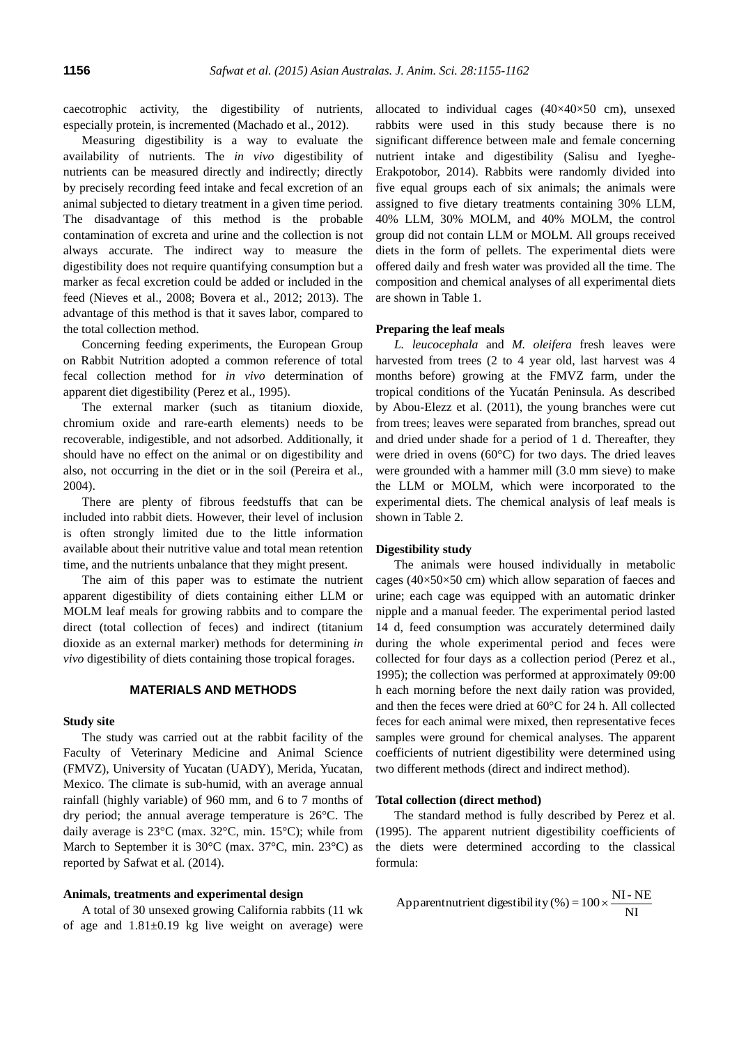caecotrophic activity, the digestibility of nutrients, especially protein, is incremented (Machado et al., 2012).

Measuring digestibility is a way to evaluate the availability of nutrients. The *in vivo* digestibility of nutrients can be measured directly and indirectly; directly by precisely recording feed intake and fecal excretion of an animal subjected to dietary treatment in a given time period. The disadvantage of this method is the probable contamination of excreta and urine and the collection is not always accurate. The indirect way to measure the digestibility does not require quantifying consumption but a marker as fecal excretion could be added or included in the feed (Nieves et al., 2008; Bovera et al., 2012; 2013). The advantage of this method is that it saves labor, compared to the total collection method.

Concerning feeding experiments, the European Group on Rabbit Nutrition adopted a common reference of total fecal collection method for *in vivo* determination of apparent diet digestibility (Perez et al., 1995).

The external marker (such as titanium dioxide, chromium oxide and rare-earth elements) needs to be recoverable, indigestible, and not adsorbed. Additionally, it should have no effect on the animal or on digestibility and also, not occurring in the diet or in the soil (Pereira et al., 2004).

There are plenty of fibrous feedstuffs that can be included into rabbit diets. However, their level of inclusion is often strongly limited due to the little information available about their nutritive value and total mean retention time, and the nutrients unbalance that they might present.

The aim of this paper was to estimate the nutrient apparent digestibility of diets containing either LLM or MOLM leaf meals for growing rabbits and to compare the direct (total collection of feces) and indirect (titanium dioxide as an external marker) methods for determining *in vivo* digestibility of diets containing those tropical forages.

#### **MATERIALS AND METHODS**

#### **Study site**

The study was carried out at the rabbit facility of the Faculty of Veterinary Medicine and Animal Science (FMVZ), University of Yucatan (UADY), Merida, Yucatan, Mexico. The climate is sub-humid, with an average annual rainfall (highly variable) of 960 mm, and 6 to 7 months of dry period; the annual average temperature is 26°C. The daily average is 23°C (max. 32°C, min. 15°C); while from March to September it is 30°C (max. 37°C, min. 23°C) as reported by Safwat et al. (2014).

#### **Animals, treatments and experimental design**

A total of 30 unsexed growing California rabbits (11 wk of age and  $1.81 \pm 0.19$  kg live weight on average) were

allocated to individual cages  $(40\times40\times50$  cm), unsexed rabbits were used in this study because there is no significant difference between male and female concerning nutrient intake and digestibility (Salisu and Iyeghe-Erakpotobor, 2014). Rabbits were randomly divided into five equal groups each of six animals; the animals were assigned to five dietary treatments containing 30% LLM, 40% LLM, 30% MOLM, and 40% MOLM, the control group did not contain LLM or MOLM. All groups received diets in the form of pellets. The experimental diets were offered daily and fresh water was provided all the time. The composition and chemical analyses of all experimental diets are shown in Table 1.

#### **Preparing the leaf meals**

*L. leucocephala* and *M. oleifera* fresh leaves were harvested from trees (2 to 4 year old, last harvest was 4 months before) growing at the FMVZ farm, under the tropical conditions of the Yucatán Peninsula. As described by Abou-Elezz et al. (2011), the young branches were cut from trees; leaves were separated from branches, spread out and dried under shade for a period of 1 d. Thereafter, they were dried in ovens (60°C) for two days. The dried leaves were grounded with a hammer mill (3.0 mm sieve) to make the LLM or MOLM, which were incorporated to the experimental diets. The chemical analysis of leaf meals is shown in Table 2.

#### **Digestibility study**

The animals were housed individually in metabolic cages ( $40\times50\times50$  cm) which allow separation of faeces and urine; each cage was equipped with an automatic drinker nipple and a manual feeder. The experimental period lasted 14 d, feed consumption was accurately determined daily during the whole experimental period and feces were collected for four days as a collection period (Perez et al., 1995); the collection was performed at approximately 09:00 h each morning before the next daily ration was provided, and then the feces were dried at 60°C for 24 h. All collected feces for each animal were mixed, then representative feces samples were ground for chemical analyses. The apparent coefficients of nutrient digestibility were determined using two different methods (direct and indirect method).

#### **Total collection (direct method)**

The standard method is fully described by Perez et al. (1995). The apparent nutrient digestibility coefficients of the diets were determined according to the classical formula:

Apparentnutrient digestibility (%) = 
$$
100 \times \frac{NI - NE}{NI}
$$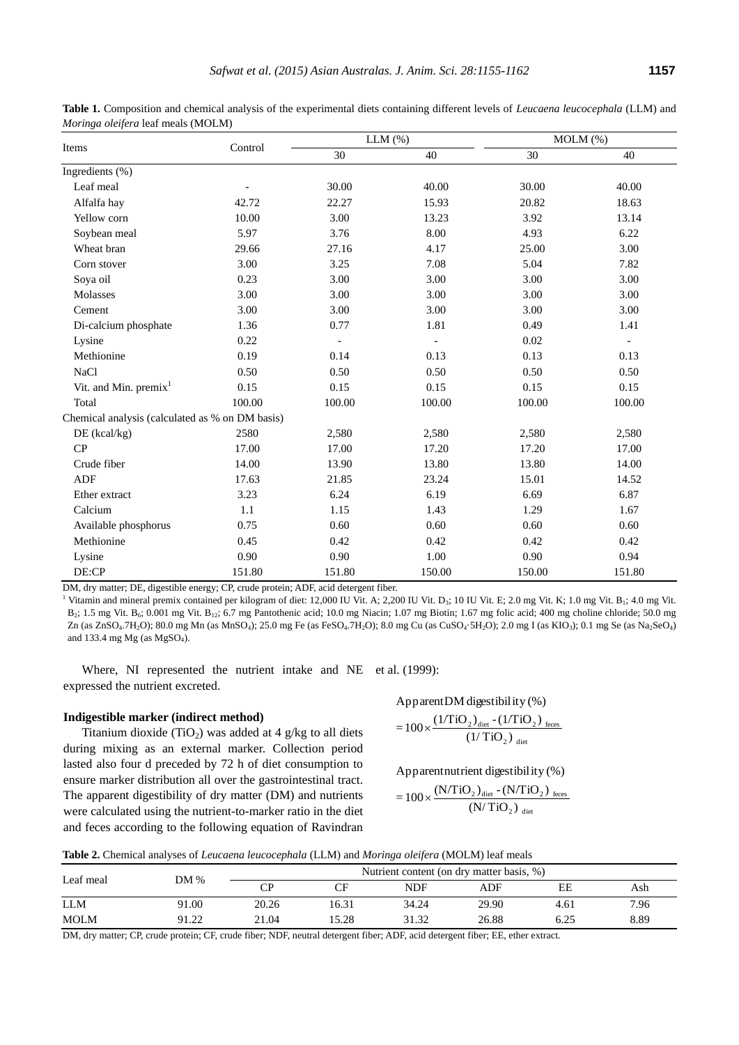|                                                 |         |        | $LLM$ $(\% )$  | MOLM (%) |                |  |
|-------------------------------------------------|---------|--------|----------------|----------|----------------|--|
| Items                                           | Control | 30     | 40             | 30       | 40             |  |
| Ingredients (%)                                 |         |        |                |          |                |  |
| Leaf meal                                       |         | 30.00  | 40.00          | 30.00    | 40.00          |  |
| Alfalfa hay                                     | 42.72   | 22.27  | 15.93          | 20.82    | 18.63          |  |
| Yellow corn                                     | 10.00   | 3.00   | 13.23          | 3.92     | 13.14          |  |
| Soybean meal                                    | 5.97    | 3.76   | 8.00           | 4.93     | 6.22           |  |
| Wheat bran                                      | 29.66   | 27.16  | 4.17           | 25.00    | 3.00           |  |
| Corn stover                                     | 3.00    | 3.25   | 7.08           | 5.04     | 7.82           |  |
| Soya oil                                        | 0.23    | 3.00   | 3.00           | 3.00     | 3.00           |  |
| Molasses                                        | 3.00    | 3.00   | 3.00           | 3.00     | 3.00           |  |
| Cement                                          | 3.00    | 3.00   | 3.00           | 3.00     | 3.00           |  |
| Di-calcium phosphate                            | 1.36    | 0.77   | 1.81           | 0.49     | 1.41           |  |
| Lysine                                          | 0.22    |        | $\blacksquare$ | 0.02     | $\overline{a}$ |  |
| Methionine                                      | 0.19    | 0.14   | 0.13           | 0.13     | 0.13           |  |
| <b>NaCl</b>                                     | 0.50    | 0.50   | 0.50           | 0.50     | 0.50           |  |
| Vit. and Min. $premix1$                         | 0.15    | 0.15   | 0.15           | 0.15     | 0.15           |  |
| Total                                           | 100.00  | 100.00 | 100.00         | 100.00   | 100.00         |  |
| Chemical analysis (calculated as % on DM basis) |         |        |                |          |                |  |
| DE (kcal/kg)                                    | 2580    | 2,580  | 2,580          | 2,580    | 2,580          |  |
| CP                                              | 17.00   | 17.00  | 17.20          | 17.20    | 17.00          |  |
| Crude fiber                                     | 14.00   | 13.90  | 13.80          | 13.80    | 14.00          |  |
| ADF                                             | 17.63   | 21.85  | 23.24          | 15.01    | 14.52          |  |
| Ether extract                                   | 3.23    | 6.24   | 6.19           | 6.69     | 6.87           |  |
| Calcium                                         | 1.1     | 1.15   | 1.43           | 1.29     | 1.67           |  |
| Available phosphorus                            | 0.75    | 0.60   | 0.60           | 0.60     | 0.60           |  |
| Methionine                                      | 0.45    | 0.42   | 0.42           | 0.42     | 0.42           |  |
| Lysine                                          | 0.90    | 0.90   | 1.00           | 0.90     | 0.94           |  |
| DE:CP                                           | 151.80  | 151.80 | 150.00         | 150.00   | 151.80         |  |

**Table 1.** Composition and chemical analysis of the experimental diets containing different levels of *Leucaena leucocephala* (LLM) and *Moringa oleifera* leaf meals (MOLM)

DM, dry matter; DE, digestible energy; CP, crude protein; ADF, acid detergent fiber.

<sup>1</sup> Vitamin and mineral premix contained per kilogram of diet: 12,000 IU Vit. A; 2,200 IU Vit. D<sub>3</sub>; 10 IU Vit. E; 2.0 mg Vit. K; 1.0 mg Vit. B<sub>1</sub>; 4.0 mg Vit.  $B_2$ ; 1.5 mg Vit.  $B_6$ ; 0.001 mg Vit.  $B_{12}$ ; 6.7 mg Pantothenic acid; 10.0 mg Niacin; 1.07 mg Biotin; 1.67 mg folic acid; 400 mg choline chloride; 50.0 mg Zn (as ZnSO<sub>4</sub>.7H<sub>2</sub>O); 80.0 mg Mn (as MnSO<sub>4</sub>); 25.0 mg Fe (as FeSO<sub>4</sub>.7H<sub>2</sub>O); 8.0 mg Cu (as CuSO<sub>4</sub>·5H<sub>2</sub>O); 2.0 mg I (as KIO<sub>3</sub>); 0.1 mg Se (as Na<sub>2</sub>SeO<sub>4</sub>) and 133.4 mg Mg (as MgSO4).

Where, NI represented the nutrient intake and NE et al. (1999): expressed the nutrient excreted.

#### **Indigestible marker (indirect method)**

Titanium dioxide (TiO<sub>2</sub>) was added at 4 g/kg to all diets during mixing as an external marker. Collection period lasted also four d preceded by 72 h of diet consumption to ensure marker distribution all over the gastrointestinal tract. The apparent digestibility of dry matter (DM) and nutrients were calculated using the nutrient-to-marker ratio in the diet and feces according to the following equation of Ravindran

# Apparent DM digestibility  $(\%)$

$$
=100\times\frac{(1/TiO_2)_{\text{dict}}-(1/TiO_2)_{\text{feces}}}{(1/TiO_2)_{\text{dict}}}
$$

Apparent nutrient digestibility  $(\%)$ 

$$
=100\times\frac{(N/TiO_{2})_{\text{dict}}\cdot(N/TiO_{2})_{\text{feces}}}{(N/TiO_{2})_{\text{dict}}}
$$

**Table 2.** Chemical analyses of *Leucaena leucocephala* (LLM) and *Moringa oleifera* (MOLM) leaf meals

| Leaf meal   | DM %  | Nutrient content (on dry matter basis, %) |       |            |       |      |      |  |  |
|-------------|-------|-------------------------------------------|-------|------------|-------|------|------|--|--|
|             |       | СP                                        | CF    | <b>NDF</b> | ADF   | EE   | Ash  |  |  |
| <b>LLM</b>  | 91.00 | 20.26                                     | 16.31 | 34.24      | 29.90 | 4.61 | 7.96 |  |  |
| <b>MOLM</b> | 91.22 | 21.04                                     | 15.28 | 31.32      | 26.88 |      | 8.89 |  |  |

DM, dry matter; CP, crude protein; CF, crude fiber; NDF, neutral detergent fiber; ADF, acid detergent fiber; EE, ether extract.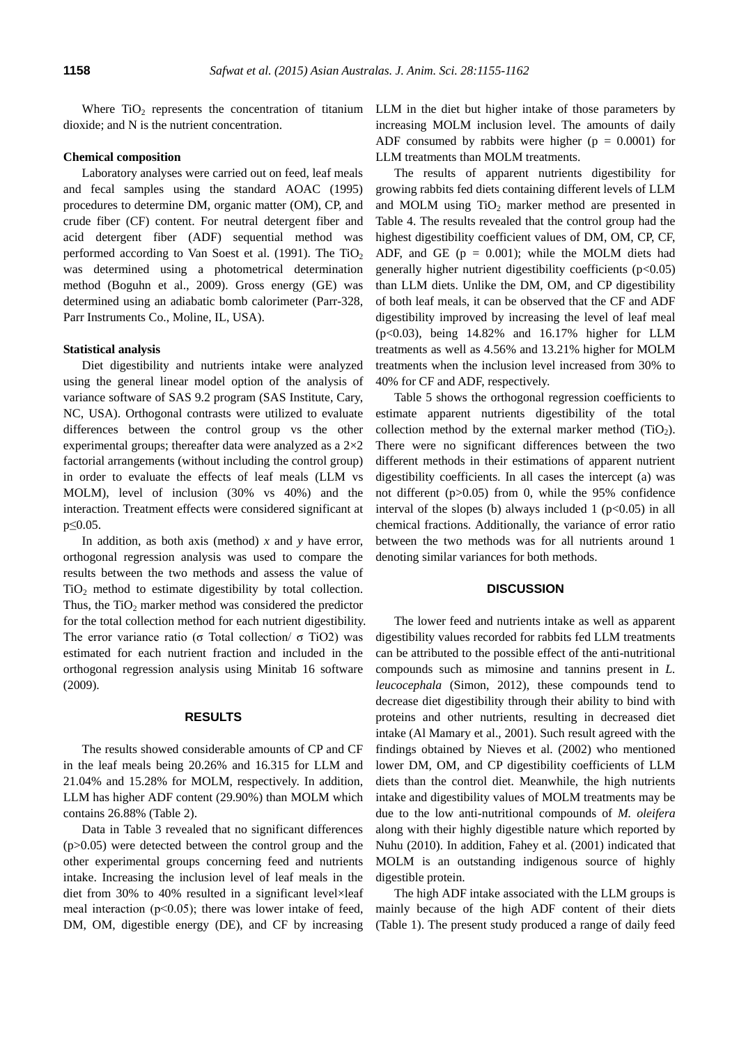Where  $TiO<sub>2</sub>$  represents the concentration of titanium dioxide; and N is the nutrient concentration.

# **Chemical composition**

Laboratory analyses were carried out on feed, leaf meals and fecal samples using the standard AOAC (1995) procedures to determine DM, organic matter (OM), CP, and crude fiber (CF) content. For neutral detergent fiber and acid detergent fiber (ADF) sequential method was performed according to Van Soest et al. (1991). The  $TiO<sub>2</sub>$ was determined using a photometrical determination method (Boguhn et al., 2009). Gross energy (GE) was determined using an adiabatic bomb calorimeter (Parr-328, Parr Instruments Co., Moline, IL, USA).

# **Statistical analysis**

Diet digestibility and nutrients intake were analyzed using the general linear model option of the analysis of variance software of SAS 9.2 program (SAS Institute, Cary, NC, USA). Orthogonal contrasts were utilized to evaluate differences between the control group vs the other experimental groups; thereafter data were analyzed as a 2×2 factorial arrangements (without including the control group) in order to evaluate the effects of leaf meals (LLM vs MOLM), level of inclusion (30% vs 40%) and the interaction. Treatment effects were considered significant at p≤0.05.

In addition, as both axis (method) *x* and *y* have error, orthogonal regression analysis was used to compare the results between the two methods and assess the value of  $TiO<sub>2</sub>$  method to estimate digestibility by total collection. Thus, the  $TiO<sub>2</sub>$  marker method was considered the predictor for the total collection method for each nutrient digestibility. The error variance ratio (σ Total collection/ σ TiO2) was estimated for each nutrient fraction and included in the orthogonal regression analysis using Minitab 16 software (2009).

# **RESULTS**

The results showed considerable amounts of CP and CF in the leaf meals being 20.26% and 16.315 for LLM and 21.04% and 15.28% for MOLM, respectively. In addition, LLM has higher ADF content (29.90%) than MOLM which contains 26.88% (Table 2).

Data in Table 3 revealed that no significant differences (p>0.05) were detected between the control group and the other experimental groups concerning feed and nutrients intake. Increasing the inclusion level of leaf meals in the diet from 30% to 40% resulted in a significant level×leaf meal interaction (p˂0.05); there was lower intake of feed, DM, OM, digestible energy (DE), and CF by increasing LLM in the diet but higher intake of those parameters by increasing MOLM inclusion level. The amounts of daily ADF consumed by rabbits were higher ( $p = 0.0001$ ) for LLM treatments than MOLM treatments.

The results of apparent nutrients digestibility for growing rabbits fed diets containing different levels of LLM and MOLM using  $TiO<sub>2</sub>$  marker method are presented in Table 4. The results revealed that the control group had the highest digestibility coefficient values of DM, OM, CP, CF, ADF, and GE  $(p = 0.001)$ ; while the MOLM diets had generally higher nutrient digestibility coefficients  $(p<0.05)$ than LLM diets. Unlike the DM, OM, and CP digestibility of both leaf meals, it can be observed that the CF and ADF digestibility improved by increasing the level of leaf meal (p<0.03), being 14.82% and 16.17% higher for LLM treatments as well as 4.56% and 13.21% higher for MOLM treatments when the inclusion level increased from 30% to 40% for CF and ADF, respectively.

Table 5 shows the orthogonal regression coefficients to estimate apparent nutrients digestibility of the total collection method by the external marker method  $(TiO<sub>2</sub>)$ . There were no significant differences between the two different methods in their estimations of apparent nutrient digestibility coefficients. In all cases the intercept (a) was not different (p>0.05) from 0, while the 95% confidence interval of the slopes (b) always included 1 ( $p<0.05$ ) in all chemical fractions. Additionally, the variance of error ratio between the two methods was for all nutrients around 1 denoting similar variances for both methods.

# **DISCUSSION**

The lower feed and nutrients intake as well as apparent digestibility values recorded for rabbits fed LLM treatments can be attributed to the possible effect of the anti-nutritional compounds such as mimosine and tannins present in *L. leucocephala* (Simon, 2012), these compounds tend to decrease diet digestibility through their ability to bind with proteins and other nutrients, resulting in decreased diet intake (Al Mamary et al., 2001). Such result agreed with the findings obtained by Nieves et al. (2002) who mentioned lower DM, OM, and CP digestibility coefficients of LLM diets than the control diet. Meanwhile, the high nutrients intake and digestibility values of MOLM treatments may be due to the low anti-nutritional compounds of *M. oleifera* along with their highly digestible nature which reported by Nuhu (2010). In addition, Fahey et al. (2001) indicated that MOLM is an outstanding indigenous source of highly digestible protein.

The high ADF intake associated with the LLM groups is mainly because of the high ADF content of their diets (Table 1). The present study produced a range of daily feed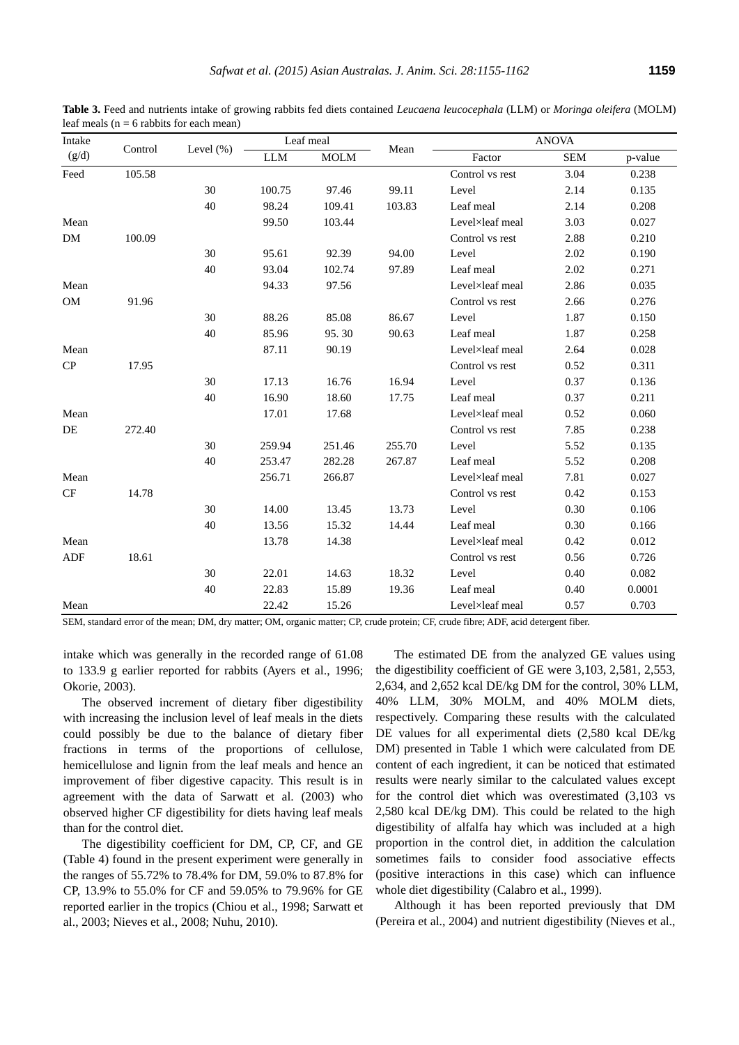| Intake |         |               | Leaf meal  |             |        | <b>ANOVA</b>    |            |         |
|--------|---------|---------------|------------|-------------|--------|-----------------|------------|---------|
| (g/d)  | Control | Level $(\% )$ | <b>LLM</b> | <b>MOLM</b> | Mean   | Factor          | <b>SEM</b> | p-value |
| Feed   | 105.58  |               |            |             |        | Control vs rest | 3.04       | 0.238   |
|        |         | 30            | 100.75     | 97.46       | 99.11  | Level           | 2.14       | 0.135   |
|        |         | 40            | 98.24      | 109.41      | 103.83 | Leaf meal       | 2.14       | 0.208   |
| Mean   |         |               | 99.50      | 103.44      |        | Level×leaf meal | 3.03       | 0.027   |
| DM     | 100.09  |               |            |             |        | Control vs rest | 2.88       | 0.210   |
|        |         | 30            | 95.61      | 92.39       | 94.00  | Level           | 2.02       | 0.190   |
|        |         | 40            | 93.04      | 102.74      | 97.89  | Leaf meal       | 2.02       | 0.271   |
| Mean   |         |               | 94.33      | 97.56       |        | Level×leaf meal | 2.86       | 0.035   |
| OM     | 91.96   |               |            |             |        | Control vs rest | 2.66       | 0.276   |
|        |         | 30            | 88.26      | 85.08       | 86.67  | Level           | 1.87       | 0.150   |
|        |         | 40            | 85.96      | 95.30       | 90.63  | Leaf meal       | 1.87       | 0.258   |
| Mean   |         |               | 87.11      | 90.19       |        | Level×leaf meal | 2.64       | 0.028   |
| CP     | 17.95   |               |            |             |        | Control vs rest | 0.52       | 0.311   |
|        |         | 30            | 17.13      | 16.76       | 16.94  | Level           | 0.37       | 0.136   |
|        |         | 40            | 16.90      | 18.60       | 17.75  | Leaf meal       | 0.37       | 0.211   |
| Mean   |         |               | 17.01      | 17.68       |        | Level×leaf meal | 0.52       | 0.060   |
| DE     | 272.40  |               |            |             |        | Control vs rest | 7.85       | 0.238   |
|        |         | 30            | 259.94     | 251.46      | 255.70 | Level           | 5.52       | 0.135   |
|        |         | 40            | 253.47     | 282.28      | 267.87 | Leaf meal       | 5.52       | 0.208   |
| Mean   |         |               | 256.71     | 266.87      |        | Level×leaf meal | 7.81       | 0.027   |
| CF     | 14.78   |               |            |             |        | Control vs rest | 0.42       | 0.153   |
|        |         | 30            | 14.00      | 13.45       | 13.73  | Level           | 0.30       | 0.106   |
|        |         | 40            | 13.56      | 15.32       | 14.44  | Leaf meal       | 0.30       | 0.166   |
| Mean   |         |               | 13.78      | 14.38       |        | Level×leaf meal | 0.42       | 0.012   |
| ADF    | 18.61   |               |            |             |        | Control vs rest | 0.56       | 0.726   |
|        |         | 30            | 22.01      | 14.63       | 18.32  | Level           | 0.40       | 0.082   |
|        |         | 40            | 22.83      | 15.89       | 19.36  | Leaf meal       | 0.40       | 0.0001  |
| Mean   |         |               | 22.42      | 15.26       |        | Level×leaf meal | 0.57       | 0.703   |

**Table 3.** Feed and nutrients intake of growing rabbits fed diets contained *Leucaena leucocephala* (LLM) or *Moringa oleifera* (MOLM) leaf meals ( $n = 6$  rabbits for each mean)

SEM, standard error of the mean; DM, dry matter; OM, organic matter; CP, crude protein; CF, crude fibre; ADF, acid detergent fiber.

intake which was generally in the recorded range of 61.08 to 133.9 g earlier reported for rabbits (Ayers et al., 1996; Okorie, 2003).

The observed increment of dietary fiber digestibility with increasing the inclusion level of leaf meals in the diets could possibly be due to the balance of dietary fiber fractions in terms of the proportions of cellulose, hemicellulose and lignin from the leaf meals and hence an improvement of fiber digestive capacity. This result is in agreement with the data of Sarwatt et al. (2003) who observed higher CF digestibility for diets having leaf meals than for the control diet.

The digestibility coefficient for DM, CP, CF, and GE (Table 4) found in the present experiment were generally in the ranges of 55.72% to 78.4% for DM, 59.0% to 87.8% for CP, 13.9% to 55.0% for CF and 59.05% to 79.96% for GE reported earlier in the tropics [\(Chiou e](http://www.ncbi.nlm.nih.gov/pubmed?term=Chiou%20PW%5BAuthor%5D&cauthor=true&cauthor_uid=9718475)t al., 1998; Sarwatt et al., 2003; Nieves et al., 2008; Nuhu, 2010).

The estimated DE from the analyzed GE values using the digestibility coefficient of GE were 3,103, 2,581, 2,553, 2,634, and 2,652 kcal DE/kg DM for the control, 30% LLM, 40% LLM, 30% MOLM, and 40% MOLM diets, respectively. Comparing these results with the calculated DE values for all experimental diets (2,580 kcal DE/kg DM) presented in Table 1 which were calculated from DE content of each ingredient, it can be noticed that estimated results were nearly similar to the calculated values except for the control diet which was overestimated (3,103 vs 2,580 kcal DE/kg DM). This could be related to the high digestibility of alfalfa hay which was included at a high proportion in the control diet, in addition the calculation sometimes fails to consider food associative effects (positive interactions in this case) which can influence whole diet digestibility (Calabro et al., 1999).

Although it has been reported previously that DM (Pereira et al., 2004) and nutrient digestibility (Nieves et al.,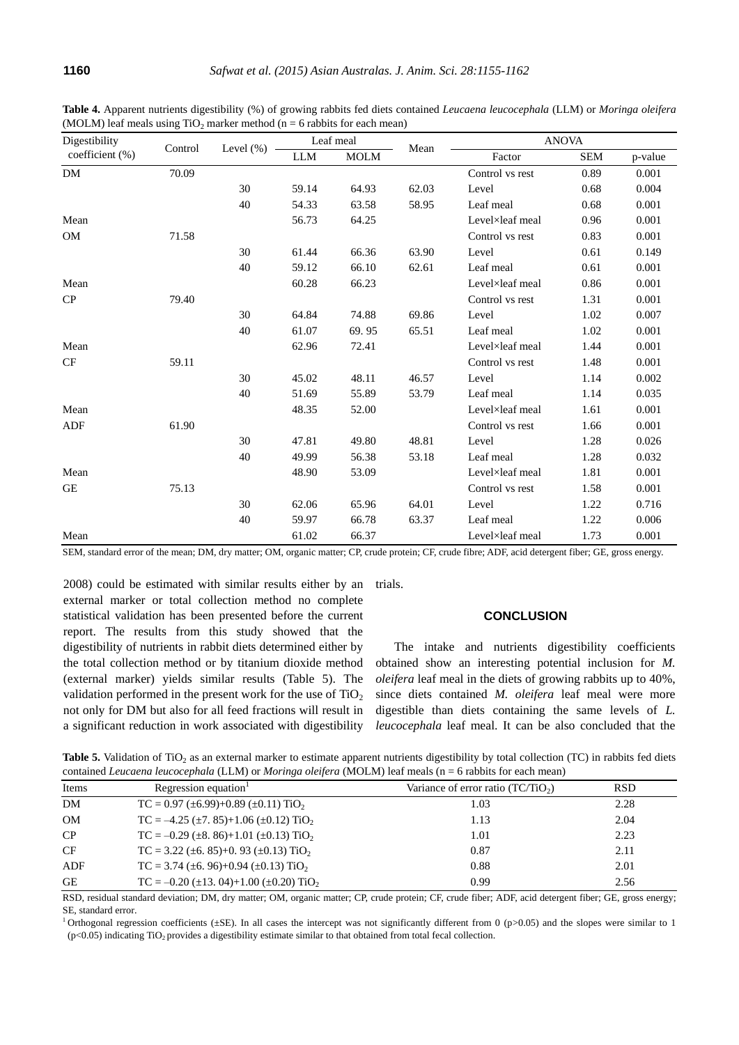| Digestibility   |         |              | Leaf meal  |             |       | <b>ANOVA</b>    |            |         |
|-----------------|---------|--------------|------------|-------------|-------|-----------------|------------|---------|
| coefficient (%) | Control | Level $(\%)$ | <b>LLM</b> | <b>MOLM</b> | Mean  | Factor          | <b>SEM</b> | p-value |
| <b>DM</b>       | 70.09   |              |            |             |       | Control vs rest | 0.89       | 0.001   |
|                 |         | 30           | 59.14      | 64.93       | 62.03 | Level           | 0.68       | 0.004   |
|                 |         | 40           | 54.33      | 63.58       | 58.95 | Leaf meal       | 0.68       | 0.001   |
| Mean            |         |              | 56.73      | 64.25       |       | Level×leaf meal | 0.96       | 0.001   |
| <b>OM</b>       | 71.58   |              |            |             |       | Control vs rest | 0.83       | 0.001   |
|                 |         | 30           | 61.44      | 66.36       | 63.90 | Level           | 0.61       | 0.149   |
|                 |         | 40           | 59.12      | 66.10       | 62.61 | Leaf meal       | 0.61       | 0.001   |
| Mean            |         |              | 60.28      | 66.23       |       | Level×leaf meal | 0.86       | 0.001   |
| CP              | 79.40   |              |            |             |       | Control vs rest | 1.31       | 0.001   |
|                 |         | 30           | 64.84      | 74.88       | 69.86 | Level           | 1.02       | 0.007   |
|                 |         | 40           | 61.07      | 69.95       | 65.51 | Leaf meal       | 1.02       | 0.001   |
| Mean            |         |              | 62.96      | 72.41       |       | Level×leaf meal | 1.44       | 0.001   |
| CF              | 59.11   |              |            |             |       | Control vs rest | 1.48       | 0.001   |
|                 |         | 30           | 45.02      | 48.11       | 46.57 | Level           | 1.14       | 0.002   |
|                 |         | 40           | 51.69      | 55.89       | 53.79 | Leaf meal       | 1.14       | 0.035   |
| Mean            |         |              | 48.35      | 52.00       |       | Level×leaf meal | 1.61       | 0.001   |
| ADF             | 61.90   |              |            |             |       | Control vs rest | 1.66       | 0.001   |
|                 |         | 30           | 47.81      | 49.80       | 48.81 | Level           | 1.28       | 0.026   |
|                 |         | 40           | 49.99      | 56.38       | 53.18 | Leaf meal       | 1.28       | 0.032   |
| Mean            |         |              | 48.90      | 53.09       |       | Level×leaf meal | 1.81       | 0.001   |
| <b>GE</b>       | 75.13   |              |            |             |       | Control vs rest | 1.58       | 0.001   |
|                 |         | 30           | 62.06      | 65.96       | 64.01 | Level           | 1.22       | 0.716   |
|                 |         | 40           | 59.97      | 66.78       | 63.37 | Leaf meal       | 1.22       | 0.006   |
| Mean            |         |              | 61.02      | 66.37       |       | Level×leaf meal | 1.73       | 0.001   |

**Table 4.** Apparent nutrients digestibility (%) of growing rabbits fed diets contained *Leucaena leucocephala* (LLM) or *Moringa oleifera* (MOLM) leaf meals using  $TiO<sub>2</sub>$  marker method (n = 6 rabbits for each mean)

SEM, standard error of the mean; DM, dry matter; OM, organic matter; CP, crude protein; CF, crude fibre; ADF, acid detergent fiber; GE, gross energy.

2008) could be estimated with similar results either by an external marker or total collection method no complete statistical validation has been presented before the current report. The results from this study showed that the digestibility of nutrients in rabbit diets determined either by the total collection method or by titanium dioxide method (external marker) yields similar results (Table 5). The validation performed in the present work for the use of  $TiO<sub>2</sub>$ not only for DM but also for all feed fractions will result in a significant reduction in work associated with digestibility

trials.

# **CONCLUSION**

The intake and nutrients digestibility coefficients obtained show an interesting potential inclusion for *M. oleifera* leaf meal in the diets of growing rabbits up to 40%, since diets contained *M. oleifera* leaf meal were more digestible than diets containing the same levels of *L. leucocephala* leaf meal. It can be also concluded that the

Table 5. Validation of TiO<sub>2</sub> as an external marker to estimate apparent nutrients digestibility by total collection (TC) in rabbits fed diets contained *Leucaena leucocephala* (LLM) or *Moringa oleifera* (MOLM) leaf meals (n = 6 rabbits for each mean)

| Items     | Regression equation <sup>1</sup>                              | Variance of error ratio $(TC/TiO2)$ | <b>RSD</b> |
|-----------|---------------------------------------------------------------|-------------------------------------|------------|
| DM        | $TC = 0.97 \ (\pm 6.99) + 0.89 \ (\pm 0.11) \ TiO_2$          | 1.03                                | 2.28       |
| OM        | $TC = -4.25 \ (\pm 7.85) + 1.06 \ (\pm 0.12) \ TiO_2$         | 1.13                                | 2.04       |
| CP        | $TC = -0.29$ (±8. 86)+1.01 (±0.13) TiO <sub>2</sub>           | 1.01                                | 2.23       |
| <b>CF</b> | $TC = 3.22 (\pm 6.85) + 0.93 (\pm 0.13)$ TiO <sub>2</sub>     | 0.87                                | 2.11       |
| ADF       | $TC = 3.74 \ (\pm 6.96) + 0.94 \ (\pm 0.13)$ TiO <sub>2</sub> | 0.88                                | 2.01       |
| <b>GE</b> | $TC = -0.20 (\pm 13.04) + 1.00 (\pm 0.20)$ TiO <sub>2</sub>   | 0.99                                | 2.56       |

RSD, residual standard deviation; DM, dry matter; OM, organic matter; CP, crude protein; CF, crude fiber; ADF, acid detergent fiber; GE, gross energy; SE, standard error.

<sup>1</sup> Orthogonal regression coefficients ( $\pm$ SE). In all cases the intercept was not significantly different from 0 (p>0.05) and the slopes were similar to 1  $(p<0.05)$  indicating TiO<sub>2</sub> provides a digestibility estimate similar to that obtained from total fecal collection.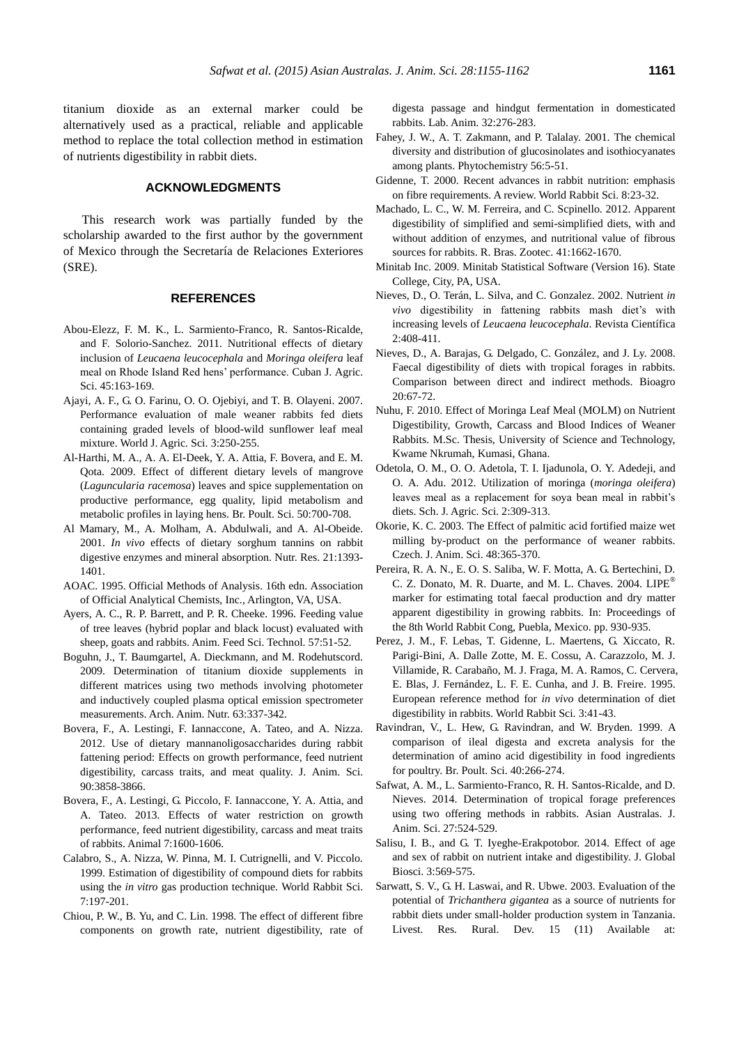titanium dioxide as an external marker could be alternatively used as a practical, reliable and applicable method to replace the total collection method in estimation of nutrients digestibility in rabbit diets.

# **ACKNOWLEDGMENTS**

This research work was partially funded by the scholarship awarded to the first author by the government of Mexico through the Secretaría de Relaciones Exteriores (SRE).

#### **REFERENCES**

- Abou-Elezz, F. M. K., L. Sarmiento-Franco, R. Santos-Ricalde, and F. Solorio-Sanchez. 2011. Nutritional effects of dietary inclusion of *Leucaena leucocephala* and *Moringa oleifera* leaf meal on Rhode Island Red hens' performance. Cuban J. Agric. Sci. 45:163-169.
- Ajayi, A. F., G. O. Farinu, O. O. Ojebiyi, and T. B. Olayeni. 2007. [Performance evaluation of male weaner rabbits fed diets](http://www.idosi.org/wjas/wjas3(2)/17.pdf)  [containing graded levels of blood-wild sunflower leaf meal](http://www.idosi.org/wjas/wjas3(2)/17.pdf)  [mixture.](http://www.idosi.org/wjas/wjas3(2)/17.pdf) World J. Agric. Sci. 3:250-255.
- Al-Harthi, M. A., A. A. El-Deek, Y. A. Attia, F. Bovera, and E. M. Qota. 2009. [Effect of different dietary levels of mangrove](http://www.tandfonline.com/doi/abs/10.1080/00071660903202948#.VPbFMfmsWfY)  (*Laguncularia racemosa*[\) leaves and spice supplementation on](http://www.tandfonline.com/doi/abs/10.1080/00071660903202948#.VPbFMfmsWfY)  [productive performance, egg quality, lipid metabolism and](http://www.tandfonline.com/doi/abs/10.1080/00071660903202948#.VPbFMfmsWfY)  [metabolic profiles in laying hens.](http://www.tandfonline.com/doi/abs/10.1080/00071660903202948#.VPbFMfmsWfY) Br. Poult. Sci. 50:700-708.
- Al Mamary, M., A. Molham, A. Abdulwali, and A. Al-Obeide. 2001. *In vivo* effects [of dietary sorghum tannins on rabbit](http://www.sciencedirect.com/science/article/pii/S0271531701003347)  digestive enzymes [and mineral absorption.](http://www.sciencedirect.com/science/article/pii/S0271531701003347) Nutr. Res. 21:1393- 1401.
- AOAC. 1995. Official Methods of Analysis. 16th edn. Association of Official Analytical Chemists, Inc., Arlington, VA, USA.
- Ayers, A. C., R. P. Barrett, and P. R. Cheeke. 1996. [Feeding value](http://www.sciencedirect.com/science/article/pii/0377840195008454)  [of tree leaves \(hybrid poplar and black locust\) evaluated with](http://www.sciencedirect.com/science/article/pii/0377840195008454)  [sheep, goats and rabbits.](http://www.sciencedirect.com/science/article/pii/0377840195008454) Anim. Feed Sci. Technol. 57:51-52.
- Boguhn, J., T. Baumgartel, A. Dieckmann, and M. Rodehutscord. 2009. [Determination of titanium dioxide supplements in](http://www.tandfonline.com/doi/abs/10.1080/17450390903052623#.VPbF6fmsWfY)  [different matrices using two methods involving photometer](http://www.tandfonline.com/doi/abs/10.1080/17450390903052623#.VPbF6fmsWfY)  [and inductively coupled plasma optical emission spectrometer](http://www.tandfonline.com/doi/abs/10.1080/17450390903052623#.VPbF6fmsWfY)  [measurements.](http://www.tandfonline.com/doi/abs/10.1080/17450390903052623#.VPbF6fmsWfY) Arch. Anim. Nutr. 63:337-342.
- Bovera, F., A. Lestingi, F. Iannaccone, A. Tateo, and A. Nizza. 2012. [Use of dietary mannanoligosaccharides during rabbit](http://www.ncbi.nlm.nih.gov/pubmed/22696621)  [fattening period: Effects on growth performance, feed nutrient](http://www.ncbi.nlm.nih.gov/pubmed/22696621)  [digestibility, carcass traits, and meat quality.](http://www.ncbi.nlm.nih.gov/pubmed/22696621) J. Anim. Sci. 90:3858-3866.
- Bovera, F., A. Lestingi, G. Piccolo, F. Iannaccone, Y. A. Attia, and A. Tateo. 2013. Effects of water [restriction on growth](http://journals.cambridge.org/action/displayAbstract?fromPage=online&aid=8993644&fileId=S1751731113001146)  [performance, feed nutrient digestibility, carcass and meat traits](http://journals.cambridge.org/action/displayAbstract?fromPage=online&aid=8993644&fileId=S1751731113001146)  [of rabbits.](http://journals.cambridge.org/action/displayAbstract?fromPage=online&aid=8993644&fileId=S1751731113001146) Animal 7:1600-1606.
- Calabro, S., A. Nizza, W. Pinna, M. I. Cutrignelli, and V. Piccolo. 1999. [Estimation of digestibility of compound diets for rabbits](http://ojs.upv.es/index.php/wrs/article/view/401/388)  using the *in vitro* [gas production technique.](http://ojs.upv.es/index.php/wrs/article/view/401/388) World Rabbit Sci. 7:197-201.
- Chiou, P. W., B. Yu, [and C. Lin. 1](http://www.ncbi.nlm.nih.gov/pubmed?term=Yu%20B%5BAuthor%5D&cauthor=true&cauthor_uid=9718475)998. [The effect of different fibre](http://lan.sagepub.com/content/32/3/276.short)  [components on growth rate, nutrient digestibility, rate of](http://lan.sagepub.com/content/32/3/276.short)

[digesta passage and hindgut fermentation in domesticated](http://lan.sagepub.com/content/32/3/276.short)  [rabbits.](http://lan.sagepub.com/content/32/3/276.short) [Lab. Anim.](http://www.ncbi.nlm.nih.gov/pubmed/9718475) 32:276-283.

- Fahey, J. W., A. T. Zakmann, and P. Talalay. 2001. [The chemical](http://www.sciencedirect.com/science/article/pii/S0031942200003162)  [diversity and distribution of glucosinolates and isothiocyanates](http://www.sciencedirect.com/science/article/pii/S0031942200003162)  [among plants.](http://www.sciencedirect.com/science/article/pii/S0031942200003162) Phytochemistry 56:5-51.
- Gidenne, T. 2000. Recent advances in rabbit nutrition: emphasis on fibre requirements. A review. World Rabbit Sci. 8:23-32.
- Machado, L. C., W. M. Ferreira, and C. Scpinello. 2012. [Apparent](http://www.scielo.br/scielo.php?pid=S1516-35982012000700015&script=sci_arttext&tlng=es)  [digestibility of simplified and semi-simplified diets, with and](http://www.scielo.br/scielo.php?pid=S1516-35982012000700015&script=sci_arttext&tlng=es)  [without addition of enzymes, and nutritional value of fibrous](http://www.scielo.br/scielo.php?pid=S1516-35982012000700015&script=sci_arttext&tlng=es)  [sources for rabbits.](http://www.scielo.br/scielo.php?pid=S1516-35982012000700015&script=sci_arttext&tlng=es) R. Bras. Zootec. 41:1662-1670.
- Minitab Inc. 2009. Minitab Statistical Software (Version 16). State College, City, PA, USA.
- Nieves, D., O. Terán, L. Silva, and C. Gonzalez. 2002. Nutrient *in vivo* digestibility in fattening rabbits mash diet's with increasing levels of *Leucaena leucocephala*. Revista Científica 2:408-411.
- Nieves, D., A. Barajas, G. Delgado, C. González, and J. Ly. 2008. [Faecal digestibility of diets with tropical forages in rabbits.](http://www.scielo.org.ve/scielo.php?script=sci_arttext&pid=S1316-33612008000100008&lng=en&nrm=iso&ignore=.html)  [Comparison between direct and indirect methods.](http://www.scielo.org.ve/scielo.php?script=sci_arttext&pid=S1316-33612008000100008&lng=en&nrm=iso&ignore=.html) Bioagro 20:67-72.
- Nuhu, F. 2010. Effect of Moringa Leaf Meal (MOLM) on Nutrient Digestibility, Growth, Carcass and Blood Indices of Weaner Rabbits. M.Sc. Thesis, University of Science and Technology, Kwame Nkrumah, Kumasi, Ghana.
- Odetola, O. M., O. O. Adetola, T. I. Ijadunola, O. Y. Adedeji, and O. A. Adu. 2012. [Utilization of moringa \(](http://scholarly-journals.com/sjas/archive/2012/dec/pdf/Odetola%20et%20al.pdf)*moringa oleifera*) [leaves meal as a replacement for soya bean meal in rabbit's](http://scholarly-journals.com/sjas/archive/2012/dec/pdf/Odetola%20et%20al.pdf)  [diets.](http://scholarly-journals.com/sjas/archive/2012/dec/pdf/Odetola%20et%20al.pdf) Sch. J. Agric. Sci. 2:309-313.
- Okorie, K. C. 2003. The Effect of palmitic acid fortified maize wet milling by-product on the performance of weaner rabbits. Czech. J. Anim. Sci. 48:365-370.
- Pereira, R. A. N., E. O. S. Saliba, W. F. Motta, A. G. Bertechini, D. C. Z. Donato, M. R. Duarte, and M. L. Chaves. 2004. [LIPE](http://world-rabbit-science.com/WRSA-Proceedings/Congress-2004-Puebla/Papers/Feeding-&-Nutrition/N-Pereira.pdf)® [marker for estimating total faecal production and dry matter](http://world-rabbit-science.com/WRSA-Proceedings/Congress-2004-Puebla/Papers/Feeding-&-Nutrition/N-Pereira.pdf)  [apparent digestibility in growing rabbits.](http://world-rabbit-science.com/WRSA-Proceedings/Congress-2004-Puebla/Papers/Feeding-&-Nutrition/N-Pereira.pdf) In: Proceedings of the 8th World Rabbit Cong, Puebla, Mexico. pp. 930-935.
- Perez, J. M., F. Lebas, T. Gidenne, L. Maertens, G. Xiccato, R. Parigi-Bini, A. Dalle Zotte, M. E. Cossu, A. Carazzolo, M. J. Villamide, R. Carabaño, M. J. Fraga, M. A. Ramos, C. Cervera, E. Blas, J. Fernández, L. F. E. Cunha, and J. B. Freire. 1995. [European reference method for](https://polipapers.upv.es/index.php/wrs/article/viewFile/239/226) *in vivo* determination of diet [digestibility in rabbits.](https://polipapers.upv.es/index.php/wrs/article/viewFile/239/226) World Rabbit Sci. 3:41-43.
- Ravindran, V., L. Hew, G. Ravindran, and W. Bryden. 1999. [A](http://www.tandfonline.com/doi/abs/10.1080/00071669987692#.VPbKR_msWfY)  [comparison of ileal digesta and excreta analysis for the](http://www.tandfonline.com/doi/abs/10.1080/00071669987692#.VPbKR_msWfY)  [determination of amino acid digestibility in food ingredients](http://www.tandfonline.com/doi/abs/10.1080/00071669987692#.VPbKR_msWfY)  [for poultry.](http://www.tandfonline.com/doi/abs/10.1080/00071669987692#.VPbKR_msWfY) Br. Poult. Sci. 40:266-274.
- Safwat, A. M., L. Sarmiento-Franco, R. H. Santos-Ricalde, and D. Nieves. 2014. [Determination of tropical forage preferences](http://www.ajas.info/journal/view.php?number=4840)  [using two offering methods in rabbits.](http://www.ajas.info/journal/view.php?number=4840) Asian Australas. J. Anim. Sci. 27:524-529.
- Salisu, I. B., and G. T. Iyeghe-Erakpotobor. 2014. [Effect of age](http://www.mutagens.co.in/jgb/vol.03/2/22.pdf)  [and sex of rabbit on nutrient intake and digestibility.](http://www.mutagens.co.in/jgb/vol.03/2/22.pdf) J. Global Biosci. 3:569-575.
- Sarwatt, S. V., G. H. Laswai, and R. Ubwe. 2003. [Evaluation of the](http://www.lrrd.cipav.org.co/lrrd15/11/sarw1511.htm)  potential of *Trichanthera gigantea* [as a source of nutrients for](http://www.lrrd.cipav.org.co/lrrd15/11/sarw1511.htm)  [rabbit diets under small-holder production system in Tanzania.](http://www.lrrd.cipav.org.co/lrrd15/11/sarw1511.htm) Livest. Res. Rural. Dev. 15 (11) Available at: